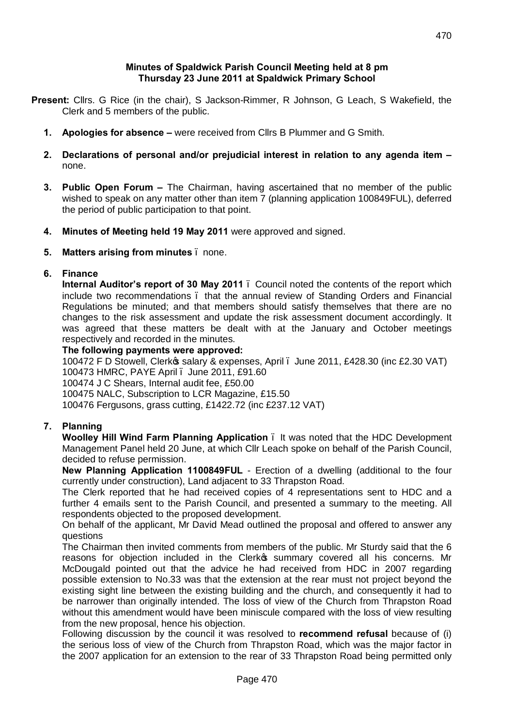### **Minutes of Spaldwick Parish Council Meeting held at 8 pm Thursday 23 June 2011 at Spaldwick Primary School**

- **Present:** Cllrs. G Rice (in the chair), S Jackson-Rimmer, R Johnson, G Leach, S Wakefield, the Clerk and 5 members of the public.
	- **1. Apologies for absence –** were received from Cllrs B Plummer and G Smith.
	- **2. Declarations of personal and/or prejudicial interest in relation to any agenda item –** none.
	- **3. Public Open Forum –** The Chairman, having ascertained that no member of the public wished to speak on any matter other than item 7 (planning application 100849FUL), deferred the period of public participation to that point.
	- **4. Minutes of Meeting held 19 May 2011** were approved and signed.
	- **5. Matters arising from minutes** none.

### **6. Finance**

**Internal Auditor's report of 30 May 2011** – Council noted the contents of the report which include two recommendations – that the annual review of Standing Orders and Financial Regulations be minuted; and that members should satisfy themselves that there are no changes to the risk assessment and update the risk assessment document accordingly. It was agreed that these matters be dealt with at the January and October meetings respectively and recorded in the minutes.

#### **The following payments were approved:**

100472 F D Stowell, Clerkos salary & expenses, April . June 2011, £428.30 (inc £2.30 VAT) 100473 HMRC, PAYE April – June 2011, £91.60

100474 J C Shears, Internal audit fee, £50.00

100475 NALC, Subscription to LCR Magazine, £15.50

100476 Fergusons, grass cutting, £1422.72 (inc £237.12 VAT)

### **7. Planning**

**Woolley Hill Wind Farm Planning Application** – It was noted that the HDC Development Management Panel held 20 June, at which Cllr Leach spoke on behalf of the Parish Council, decided to refuse permission.

**New Planning Application 1100849FUL** - Erection of a dwelling (additional to the four currently under construction), Land adjacent to 33 Thrapston Road.

The Clerk reported that he had received copies of 4 representations sent to HDC and a further 4 emails sent to the Parish Council, and presented a summary to the meeting. All respondents objected to the proposed development.

On behalf of the applicant, Mr David Mead outlined the proposal and offered to answer any questions

The Chairman then invited comments from members of the public. Mr Sturdy said that the 6 reasons for objection included in the Clerkos summary covered all his concerns. Mr McDougald pointed out that the advice he had received from HDC in 2007 regarding possible extension to No.33 was that the extension at the rear must not project beyond the existing sight line between the existing building and the church, and consequently it had to be narrower than originally intended. The loss of view of the Church from Thrapston Road without this amendment would have been miniscule compared with the loss of view resulting from the new proposal, hence his objection.

Following discussion by the council it was resolved to **recommend refusal** because of (i) the serious loss of view of the Church from Thrapston Road, which was the major factor in the 2007 application for an extension to the rear of 33 Thrapston Road being permitted only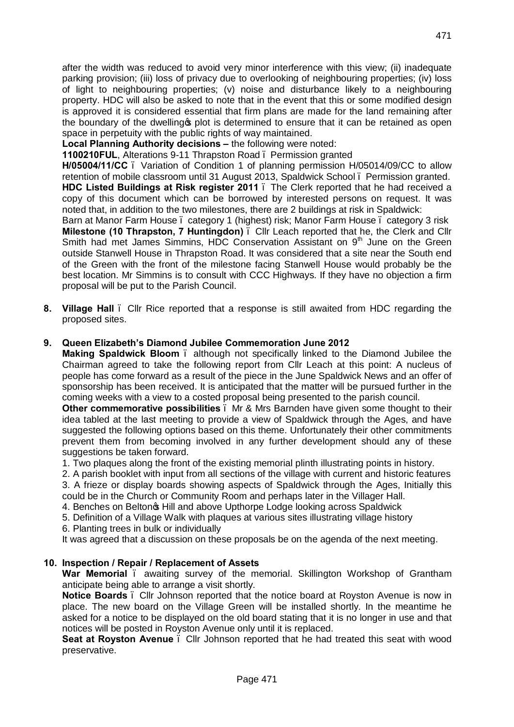after the width was reduced to avoid very minor interference with this view; (ii) inadequate parking provision; (iii) loss of privacy due to overlooking of neighbouring properties; (iv) loss of light to neighbouring properties; (v) noise and disturbance likely to a neighbouring property. HDC will also be asked to note that in the event that this or some modified design is approved it is considered essential that firm plans are made for the land remaining after the boundary of the dwelling to plot is determined to ensure that it can be retained as open space in perpetuity with the public rights of way maintained.

**Local Planning Authority decisions – the following were noted:** 

**1100210FUL**, Alterations 9-11 Thrapston Road – Permission granted

**H/05004/11/CC** – Variation of Condition 1 of planning permission H/05014/09/CC to allow retention of mobile classroom until 31 August 2013, Spaldwick School – Permission granted.

**HDC Listed Buildings at Risk register 2011** – The Clerk reported that he had received a copy of this document which can be borrowed by interested persons on request. It was noted that, in addition to the two milestones, there are 2 buildings at risk in Spaldwick:

Barn at Manor Farm House – category 1 (highest) risk; Manor Farm House – category 3 risk **Milestone (10 Thrapston, 7 Huntingdon)** – Cllr Leach reported that he, the Clerk and Cllr Smith had met James Simmins, HDC Conservation Assistant on 9<sup>th</sup> June on the Green outside Stanwell House in Thrapston Road. It was considered that a site near the South end of the Green with the front of the milestone facing Stanwell House would probably be the best location. Mr Simmins is to consult with CCC Highways. If they have no objection a firm proposal will be put to the Parish Council.

**8. Village Hall** – Cllr Rice reported that a response is still awaited from HDC regarding the proposed sites.

### **9. Queen Elizabeth's Diamond Jubilee Commemoration June 2012**

**Making Spaldwick Bloom** – although not specifically linked to the Diamond Jubilee the Chairman agreed to take the following report from Cllr Leach at this point: A nucleus of people has come forward as a result of the piece in the June Spaldwick News and an offer of sponsorship has been received. It is anticipated that the matter will be pursued further in the coming weeks with a view to a costed proposal being presented to the parish council.

**Other commemorative possibilities** – Mr & Mrs Barnden have given some thought to their idea tabled at the last meeting to provide a view of Spaldwick through the Ages, and have suggested the following options based on this theme. Unfortunately their other commitments prevent them from becoming involved in any further development should any of these suggestions be taken forward.

1. Two plaques along the front of the existing memorial plinth illustrating points in history.

2. A parish booklet with input from all sections of the village with current and historic features 3. A frieze or display boards showing aspects of Spaldwick through the Ages, Initially this could be in the Church or Community Room and perhaps later in the Villager Hall.

4. Benches on Belton & Hill and above Upthorpe Lodge looking across Spaldwick

5. Definition of a Village Walk with plaques at various sites illustrating village history

6. Planting trees in bulk or individually

It was agreed that a discussion on these proposals be on the agenda of the next meeting.

#### **10. Inspection / Repair / Replacement of Assets**

**War Memorial** – awaiting survey of the memorial. Skillington Workshop of Grantham anticipate being able to arrange a visit shortly.

**Notice Boards** – Cllr Johnson reported that the notice board at Royston Avenue is now in place. The new board on the Village Green will be installed shortly. In the meantime he asked for a notice to be displayed on the old board stating that it is no longer in use and that notices will be posted in Royston Avenue only until it is replaced.

**Seat at Royston Avenue** – Cllr Johnson reported that he had treated this seat with wood preservative.